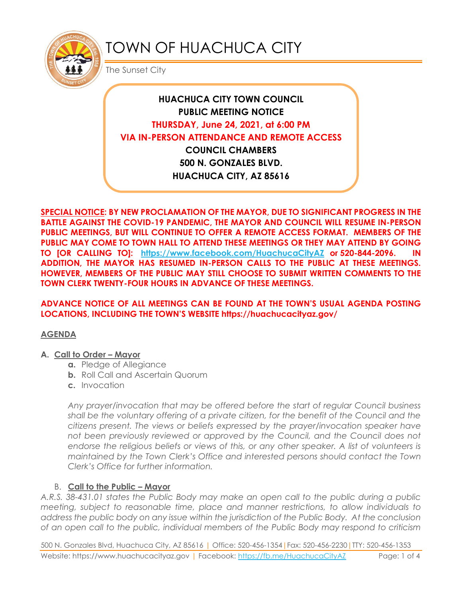

# TOWN OF HUACHUCA CITY

The Sunset City

## **HUACHUCA CITY TOWN COUNCIL PUBLIC MEETING NOTICE THURSDAY, June 24, 2021, at 6:00 PM VIA IN-PERSON ATTENDANCE AND REMOTE ACCESS COUNCIL CHAMBERS 500 N. GONZALES BLVD.**

**HUACHUCA CITY, AZ 85616**

**SPECIAL NOTICE: BY NEW PROCLAMATION OF THE MAYOR, DUE TO SIGNIFICANT PROGRESS IN THE BATTLE AGAINST THE COVID-19 PANDEMIC, THE MAYOR AND COUNCIL WILL RESUME IN-PERSON PUBLIC MEETINGS, BUT WILL CONTINUE TO OFFER A REMOTE ACCESS FORMAT. MEMBERS OF THE PUBLIC MAY COME TO TOWN HALL TO ATTEND THESE MEETINGS OR THEY MAY ATTEND BY GOING TO [OR CALLING TO]: <https://www.facebook.com/HuachucaCityAZ> or 520-844-2096. IN ADDITION, THE MAYOR HAS RESUMED IN-PERSON CALLS TO THE PUBLIC AT THESE MEETINGS. HOWEVER, MEMBERS OF THE PUBLIC MAY STILL CHOOSE TO SUBMIT WRITTEN COMMENTS TO THE TOWN CLERK TWENTY-FOUR HOURS IN ADVANCE OF THESE MEETINGS.** 

#### **ADVANCE NOTICE OF ALL MEETINGS CAN BE FOUND AT THE TOWN'S USUAL AGENDA POSTING LOCATIONS, INCLUDING THE TOWN'S WEBSITE https://huachucacityaz.gov/**

#### **AGENDA**

#### **A. Call to Order – Mayor**

- **a.** Pledge of Allegiance
- **b.** Roll Call and Ascertain Quorum
- **c.** Invocation

*Any prayer/invocation that may be offered before the start of regular Council business shall be the voluntary offering of a private citizen, for the benefit of the Council and the citizens present. The views or beliefs expressed by the prayer/invocation speaker have*  not been previously reviewed or approved by the Council, and the Council does not endorse the religious beliefs or views of this, or any other speaker. A list of volunteers is *maintained by the Town Clerk's Office and interested persons should contact the Town Clerk's Office for further information.*

## B. **Call to the Public – Mayor**

*A.R.S. 38-431.01 states the Public Body may make an open call to the public during a public meeting, subject to reasonable time, place and manner restrictions, to allow individuals to address the public body on any issue within the jurisdiction of the Public Body. At the conclusion of an open call to the public, individual members of the Public Body may respond to criticism* 

500 N. Gonzales Blvd, Huachuca City, AZ 85616 | Office: 520-456-1354|Fax: 520-456-2230|TTY: 520-456-1353 Website: https://www.huachucacityaz.gov | Facebook:<https://fb.me/HuachucaCityAZ> Page: 1 of 4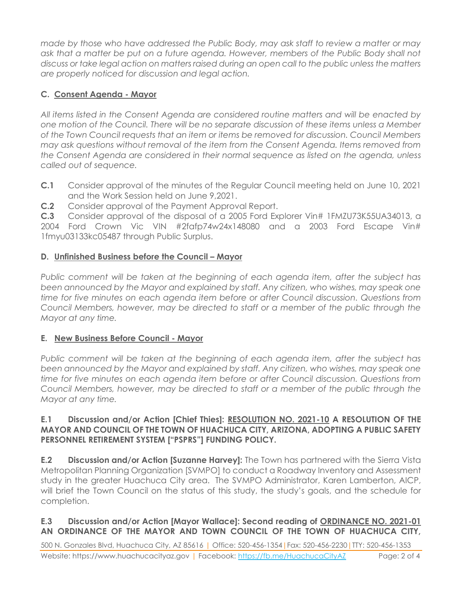*made by those who have addressed the Public Body, may ask staff to review a matter or may ask that a matter be put on a future agenda. However, members of the Public Body shall not discuss or take legal action on matters raised during an open call to the public unless the matters are properly noticed for discussion and legal action.*

## **C. Consent Agenda - Mayor**

*All items listed in the Consent Agenda are considered routine matters and will be enacted by one motion of the Council. There will be no separate discussion of these items unless a Member of the Town Council requests that an item or items be removed for discussion. Council Members may ask questions without removal of the item from the Consent Agenda. Items removed from the Consent Agenda are considered in their normal sequence as listed on the agenda, unless called out of sequence.*

- **C.1** Consider approval of the minutes of the Regular Council meeting held on June 10, 2021 and the Work Session held on June 9,2021.
- **C.2** Consider approval of the Payment Approval Report.

**C.3** Consider approval of the disposal of a 2005 Ford Explorer Vin# 1FMZU73K55UA34013, a 2004 Ford Crown Vic VIN #2fafp74w24x148080 and a 2003 Ford Escape Vin# 1fmyu03133kc05487 through Public Surplus.

## **D.** Unfinished Business before the Council - Mayor

*Public comment will be taken at the beginning of each agenda item, after the subject has*  been announced by the Mayor and explained by staff. Any citizen, who wishes, may speak one *time for five minutes on each agenda item before or after Council discussion. Questions from Council Members, however, may be directed to staff or a member of the public through the Mayor at any time.*

## **E. New Business Before Council - Mayor**

*Public comment will be taken at the beginning of each agenda item, after the subject has been announced by the Mayor and explained by staff. Any citizen, who wishes, may speak one time for five minutes on each agenda item before or after Council discussion. Questions from Council Members, however, may be directed to staff or a member of the public through the Mayor at any time.* 

#### **E.1 Discussion and/or Action [Chief Thies]: RESOLUTION NO. 2021-10 A RESOLUTION OF THE MAYOR AND COUNCIL OF THE TOWN OF HUACHUCA CITY, ARIZONA, ADOPTING A PUBLIC SAFETY PERSONNEL RETIREMENT SYSTEM ["PSPRS"] FUNDING POLICY.**

**E.2 Discussion and/or Action [Suzanne Harvey]:** The Town has partnered with the Sierra Vista Metropolitan Planning Organization [SVMPO] to conduct a Roadway Inventory and Assessment study in the greater Huachuca City area. The SVMPO Administrator, Karen Lamberton, AICP, will brief the Town Council on the status of this study, the study's goals, and the schedule for completion.

## **E.3 Discussion and/or Action [Mayor Wallace]: Second reading of ORDINANCE NO. 2021-01 AN ORDINANCE OF THE MAYOR AND TOWN COUNCIL OF THE TOWN OF HUACHUCA CITY,**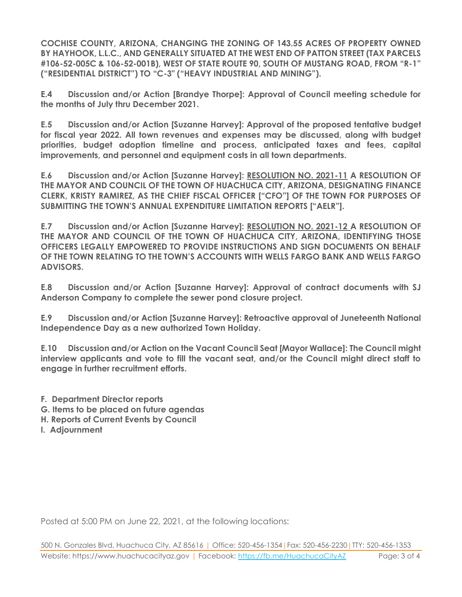**COCHISE COUNTY, ARIZONA, CHANGING THE ZONING OF 143.55 ACRES OF PROPERTY OWNED BY HAYHOOK, L.L.C., AND GENERALLY SITUATED AT THE WEST END OF PATTON STREET (TAX PARCELS #106-52-005C & 106-52-001B), WEST OF STATE ROUTE 90, SOUTH OF MUSTANG ROAD, FROM "R-1" ("RESIDENTIAL DISTRICT") TO "C-3" ("HEAVY INDUSTRIAL AND MINING").**

**E.4 Discussion and/or Action [Brandye Thorpe]: Approval of Council meeting schedule for the months of July thru December 2021.**

**E.5 Discussion and/or Action [Suzanne Harvey]: Approval of the proposed tentative budget for fiscal year 2022. All town revenues and expenses may be discussed, along with budget priorities, budget adoption timeline and process, anticipated taxes and fees, capital improvements, and personnel and equipment costs in all town departments.**

**E.6 Discussion and/or Action [Suzanne Harvey]: RESOLUTION NO. 2021-11 A RESOLUTION OF THE MAYOR AND COUNCIL OF THE TOWN OF HUACHUCA CITY, ARIZONA, DESIGNATING FINANCE CLERK, KRISTY RAMIREZ, AS THE CHIEF FISCAL OFFICER ["CFO"] OF THE TOWN FOR PURPOSES OF SUBMITTING THE TOWN'S ANNUAL EXPENDITURE LIMITATION REPORTS ["AELR"].**

**E.7 Discussion and/or Action [Suzanne Harvey]: RESOLUTION NO. 2021-12 A RESOLUTION OF THE MAYOR AND COUNCIL OF THE TOWN OF HUACHUCA CITY, ARIZONA, IDENTIFYING THOSE OFFICERS LEGALLY EMPOWERED TO PROVIDE INSTRUCTIONS AND SIGN DOCUMENTS ON BEHALF OF THE TOWN RELATING TO THE TOWN'S ACCOUNTS WITH WELLS FARGO BANK AND WELLS FARGO ADVISORS.**

**E.8 Discussion and/or Action [Suzanne Harvey]: Approval of contract documents with SJ Anderson Company to complete the sewer pond closure project.** 

**E.9 Discussion and/or Action [Suzanne Harvey]: Retroactive approval of Juneteenth National Independence Day as a new authorized Town Holiday.**

**E.10 Discussion and/or Action on the Vacant Council Seat [Mayor Wallace]: The Council might interview applicants and vote to fill the vacant seat, and/or the Council might direct staff to engage in further recruitment efforts.**

- **F. Department Director reports**
- **G. Items to be placed on future agendas**
- **H. Reports of Current Events by Council**
- **I. Adjournment**

Posted at 5:00 PM on June 22, 2021, at the following locations: